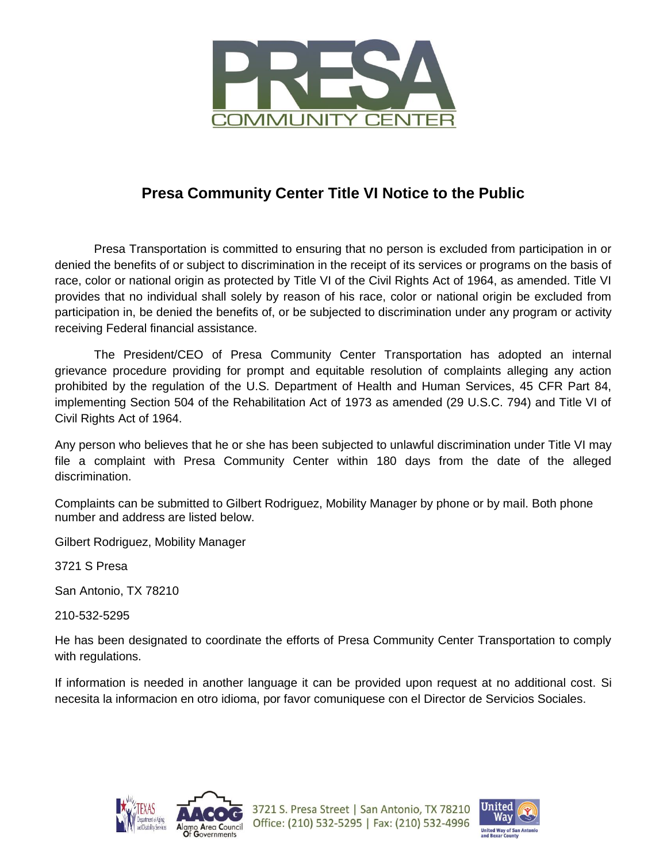

## **Presa Community Center Title VI Notice to the Public**

Presa Transportation is committed to ensuring that no person is excluded from participation in or denied the benefits of or subject to discrimination in the receipt of its services or programs on the basis of race, color or national origin as protected by Title VI of the Civil Rights Act of 1964, as amended. Title VI provides that no individual shall solely by reason of his race, color or national origin be excluded from participation in, be denied the benefits of, or be subjected to discrimination under any program or activity receiving Federal financial assistance.

The President/CEO of Presa Community Center Transportation has adopted an internal grievance procedure providing for prompt and equitable resolution of complaints alleging any action prohibited by the regulation of the U.S. Department of Health and Human Services, 45 CFR Part 84, implementing Section 504 of the Rehabilitation Act of 1973 as amended (29 U.S.C. 794) and Title VI of Civil Rights Act of 1964.

Any person who believes that he or she has been subjected to unlawful discrimination under Title VI may file a complaint with Presa Community Center within 180 days from the date of the alleged discrimination.

Complaints can be submitted to Gilbert Rodriguez, Mobility Manager by phone or by mail. Both phone number and address are listed below.

Gilbert Rodriguez, Mobility Manager

3721 S Presa

San Antonio, TX 78210

210-532-5295

He has been designated to coordinate the efforts of Presa Community Center Transportation to comply with regulations.

If information is needed in another language it can be provided upon request at no additional cost. Si necesita la informacion en otro idioma, por favor comuniquese con el Director de Servicios Sociales.



3721 S. Presa Street | San Antonio, TX 78210 Office: (210) 532-5295 | Fax: (210) 532-4996